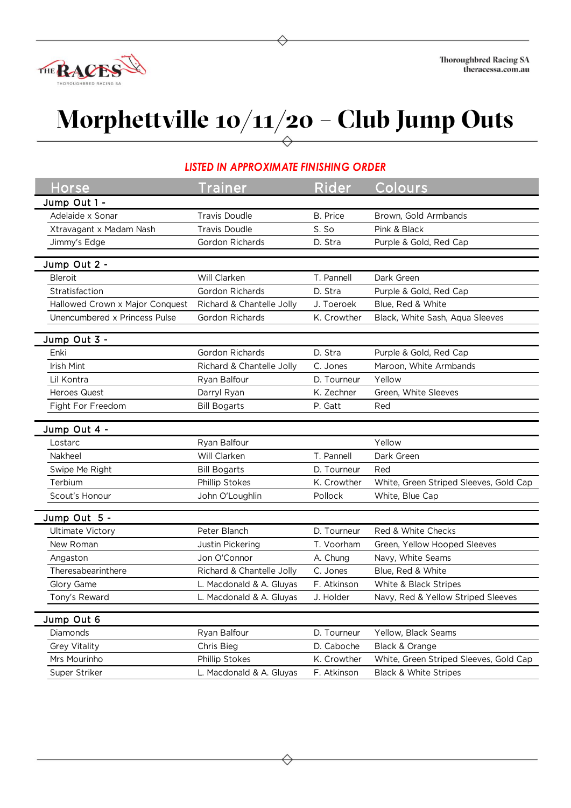

## **Morphettville 10/11/20 – Club Jump Outs**

## *LISTED IN APPROXIMATE FINISHING ORDER*

| <b>Horse</b>                            | <b>Trainer</b>            | Rider       | Colours                                |
|-----------------------------------------|---------------------------|-------------|----------------------------------------|
| Jump Out 1 -                            |                           |             |                                        |
| Adelaide x Sonar                        | <b>Travis Doudle</b>      | B. Price    | Brown, Gold Armbands                   |
| Xtravagant x Madam Nash                 | <b>Travis Doudle</b>      | S. So       | Pink & Black                           |
| Jimmy's Edge                            | Gordon Richards           | D. Stra     | Purple & Gold, Red Cap                 |
|                                         |                           |             |                                        |
| Jump Out 2 -                            |                           |             |                                        |
| Bleroit                                 | Will Clarken              | T. Pannell  | Dark Green                             |
| Stratisfaction                          | <b>Gordon Richards</b>    | D. Stra     | Purple & Gold, Red Cap                 |
| Hallowed Crown x Major Conquest         | Richard & Chantelle Jolly | J. Toeroek  | Blue, Red & White                      |
| Unencumbered x Princess Pulse           | Gordon Richards           | K. Crowther | Black, White Sash, Aqua Sleeves        |
| Jump Out 3 -                            |                           |             |                                        |
| Enki                                    | Gordon Richards           | D. Stra     | Purple & Gold, Red Cap                 |
| Irish Mint                              | Richard & Chantelle Jolly | C. Jones    | Maroon, White Armbands                 |
| Lil Kontra                              | Ryan Balfour              | D. Tourneur | Yellow                                 |
| <b>Heroes Quest</b>                     | Darryl Ryan               | K. Zechner  | Green, White Sleeves                   |
| Fight For Freedom                       | <b>Bill Bogarts</b>       | P. Gatt     | Red                                    |
|                                         |                           |             |                                        |
| Jump Out 4 -                            |                           |             |                                        |
| Lostarc                                 | Ryan Balfour              |             | Yellow                                 |
| Nakheel                                 | Will Clarken              | T. Pannell  | Dark Green                             |
| Swipe Me Right                          | <b>Bill Bogarts</b>       | D. Tourneur | Red                                    |
| Terbium                                 | Phillip Stokes            | K. Crowther | White, Green Striped Sleeves, Gold Cap |
| Scout's Honour                          | John O'Loughlin           | Pollock     | White, Blue Cap                        |
|                                         |                           |             |                                        |
| Jump Out 5 -<br><b>Ultimate Victory</b> | Peter Blanch              | D. Tourneur | Red & White Checks                     |
| New Roman                               | Justin Pickering          | T. Voorham  | Green, Yellow Hooped Sleeves           |
|                                         | Jon O'Connor              | A. Chung    |                                        |
| Angaston<br>Theresabearinthere          | Richard & Chantelle Jolly | C. Jones    | Navy, White Seams<br>Blue, Red & White |
| Glory Game                              | L. Macdonald & A. Gluyas  | F. Atkinson | White & Black Stripes                  |
|                                         | L. Macdonald & A. Gluyas  |             | Navy, Red & Yellow Striped Sleeves     |
| Tony's Reward                           |                           | J. Holder   |                                        |
| Jump Out 6                              |                           |             |                                        |
| Diamonds                                | Ryan Balfour              | D. Tourneur | Yellow, Black Seams                    |
| Grey Vitality                           | Chris Bieg                | D. Caboche  | Black & Orange                         |
| Mrs Mourinho                            | Phillip Stokes            | K. Crowther | White, Green Striped Sleeves, Gold Cap |
| Super Striker                           | L. Macdonald & A. Gluyas  | F. Atkinson | <b>Black &amp; White Stripes</b>       |